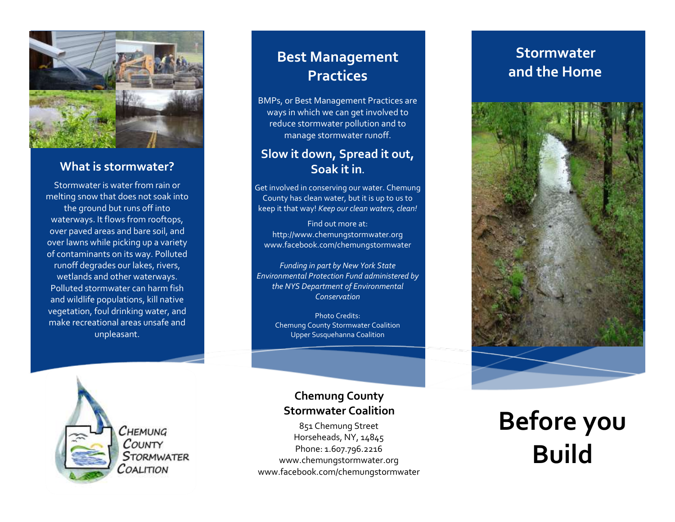

### **What is stormwater?**

Stormwater is water from rain or melting snow that does not soak into the ground but runs off into waterways. It flows from rooftops, over paved areas and bare soil, and over lawns while picking up a variety of contaminants on its way. Polluted runoff degrades our lakes, rivers, wetlands and other waterways. Polluted stormwater can harm fish and wildlife populations, kill native vegetation, foul drinking water, and make recreational areas unsafe and unpleasant.

### **Best Management Practices**

BMPs, or Best Management Practices are ways in which we can get involved to reduce stormwater pollution and to manage stormwater runoff.

### **Slow it down, Spread it out, Soak it in.**

Get involved in conserving our water. Chemung County has clean water, but it is up to us to keep it that way! *Keep our clean waters, clean!*

Find out more at: http://www.chemungstormwater.org www.facebook.com/chemungstormwater

*Funding in part by New York State Environmental Protection Fund administered by the NYS Department of Environmental Conservation*

Photo Credits: Chemung County Stormwater Coalition Upper Susquehanna Coalition



### **Chemung County Stormwater Coalition**

851 Chemung Street Horseheads, NY, 14845 Phone: 1.607.796.2216 www.chemungstormwater.org www.facebook.com/chemungstormwater

### **Stormwater and the Home**



# **Before you Build**